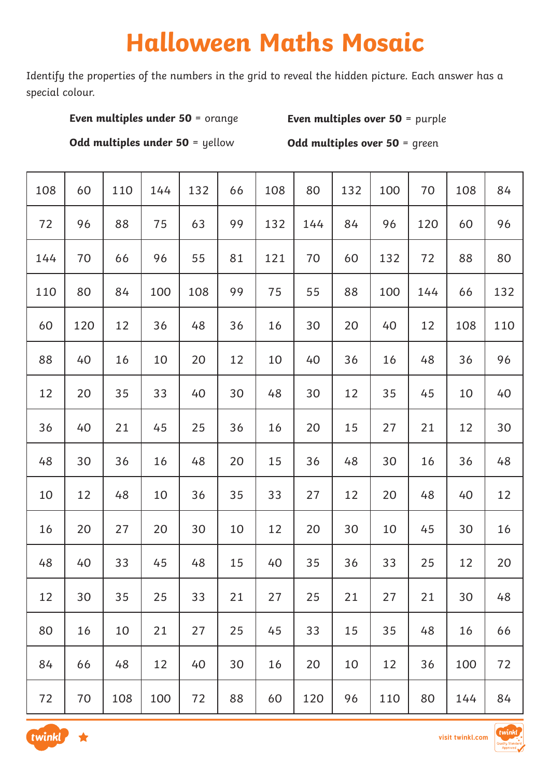# **Halloween Maths Mosaic**

Identify the properties of the numbers in the grid to reveal the hidden picture. Each answer has a special colour.

### **Even multiples under 50 = orange**

**Even multiples over 50** = purple

**Odd multiples under 50** = yellow

**Odd multiples over 50 = green** 

| 108 | 60  | 110 | 144 | 132 | 66 | 108 | 80  | 132 | 100 | 70  | 108 | 84  |
|-----|-----|-----|-----|-----|----|-----|-----|-----|-----|-----|-----|-----|
| 72  | 96  | 88  | 75  | 63  | 99 | 132 | 144 | 84  | 96  | 120 | 60  | 96  |
| 144 | 70  | 66  | 96  | 55  | 81 | 121 | 70  | 60  | 132 | 72  | 88  | 80  |
| 110 | 80  | 84  | 100 | 108 | 99 | 75  | 55  | 88  | 100 | 144 | 66  | 132 |
| 60  | 120 | 12  | 36  | 48  | 36 | 16  | 30  | 20  | 40  | 12  | 108 | 110 |
| 88  | 40  | 16  | 10  | 20  | 12 | 10  | 40  | 36  | 16  | 48  | 36  | 96  |
| 12  | 20  | 35  | 33  | 40  | 30 | 48  | 30  | 12  | 35  | 45  | 10  | 40  |
| 36  | 40  | 21  | 45  | 25  | 36 | 16  | 20  | 15  | 27  | 21  | 12  | 30  |
| 48  | 30  | 36  | 16  | 48  | 20 | 15  | 36  | 48  | 30  | 16  | 36  | 48  |
| 10  | 12  | 48  | 10  | 36  | 35 | 33  | 27  | 12  | 20  | 48  | 40  | 12  |
| 16  | 20  | 27  | 20  | 30  | 10 | 12  | 20  | 30  | 10  | 45  | 30  | 16  |
| 48  | 40  | 33  | 45  | 48  | 15 | 40  | 35  | 36  | 33  | 25  | 12  | 20  |
| 12  | 30  | 35  | 25  | 33  | 21 | 27  | 25  | 21  | 27  | 21  | 30  | 48  |
| 80  | 16  | 10  | 21  | 27  | 25 | 45  | 33  | 15  | 35  | 48  | 16  | 66  |
| 84  | 66  | 48  | 12  | 40  | 30 | 16  | 20  | 10  | 12  | 36  | 100 | 72  |
| 72  | 70  | 108 | 100 | 72  | 88 | 60  | 120 | 96  | 110 | 80  | 144 | 84  |



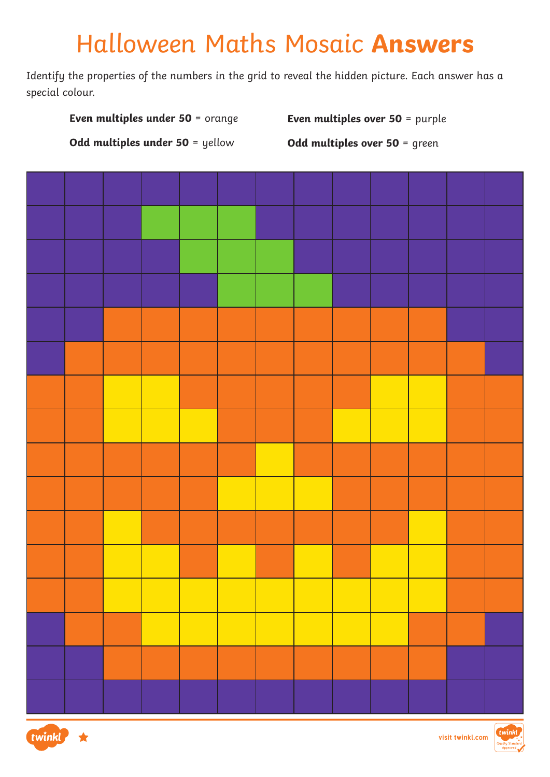# Halloween Maths Mosaic **Answers**

Identify the properties of the numbers in the grid to reveal the hidden picture. Each answer has a special colour.





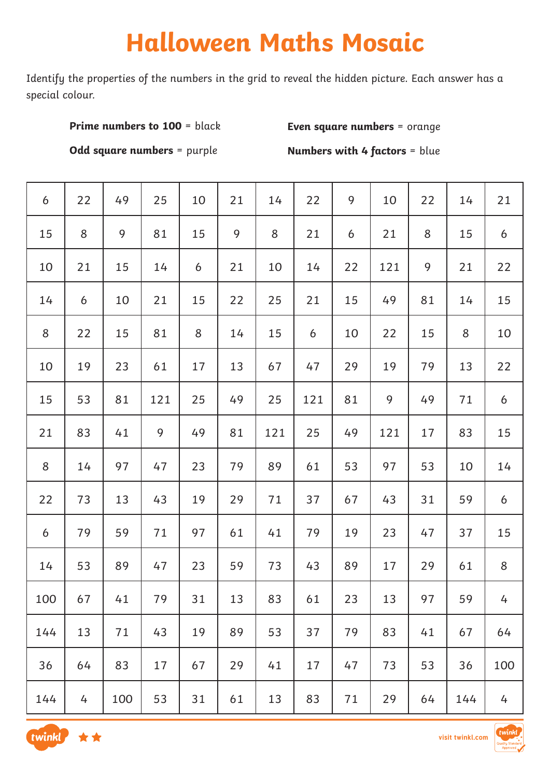# **Halloween Maths Mosaic**

Identify the properties of the numbers in the grid to reveal the hidden picture. Each answer has a special colour.

#### **Prime numbers to 100 = black**

**Even square numbers** = orange

**Odd square numbers** = purple

**Numbers with 4 factors = blue** 

| $\boldsymbol{6}$ | 22 | 49  | 25  | 10 | 21 | 14  | 22               | 9  | 10  | 22 | 14    | 21    |
|------------------|----|-----|-----|----|----|-----|------------------|----|-----|----|-------|-------|
| 15               | 8  | 9   | 81  | 15 | 9  | 8   | 21               | 6  | 21  | 8  | 15    | 6     |
| 10               | 21 | 15  | 14  | 6  | 21 | 10  | 14               | 22 | 121 | 9  | 21    | 22    |
| 14               | 6  | 10  | 21  | 15 | 22 | 25  | 21               | 15 | 49  | 81 | 14    | 15    |
| 8                | 22 | 15  | 81  | 8  | 14 | 15  | $\boldsymbol{6}$ | 10 | 22  | 15 | $8\,$ | 10    |
| 10               | 19 | 23  | 61  | 17 | 13 | 67  | 47               | 29 | 19  | 79 | 13    | 22    |
| 15               | 53 | 81  | 121 | 25 | 49 | 25  | 121              | 81 | 9   | 49 | 71    | 6     |
| 21               | 83 | 41  | 9   | 49 | 81 | 121 | 25               | 49 | 121 | 17 | 83    | 15    |
| 8                | 14 | 97  | 47  | 23 | 79 | 89  | 61               | 53 | 97  | 53 | 10    | 14    |
| 22               | 73 | 13  | 43  | 19 | 29 | 71  | 37               | 67 | 43  | 31 | 59    | 6     |
| 6                | 79 | 59  | 71  | 97 | 61 | 41  | 79               | 19 | 23  | 47 | 37    | 15    |
| 14               | 53 | 89  | 47  | 23 | 59 | 73  | 43               | 89 | 17  | 29 | 61    | $8\,$ |
| 100              | 67 | 41  | 79  | 31 | 13 | 83  | 61               | 23 | 13  | 97 | 59    | 4     |
| 144              | 13 | 71  | 43  | 19 | 89 | 53  | 37               | 79 | 83  | 41 | 67    | 64    |
| 36               | 64 | 83  | 17  | 67 | 29 | 41  | 17               | 47 | 73  | 53 | 36    | 100   |
| 144              | 4  | 100 | 53  | 31 | 61 | 13  | 83               | 71 | 29  | 64 | 144   | 4     |



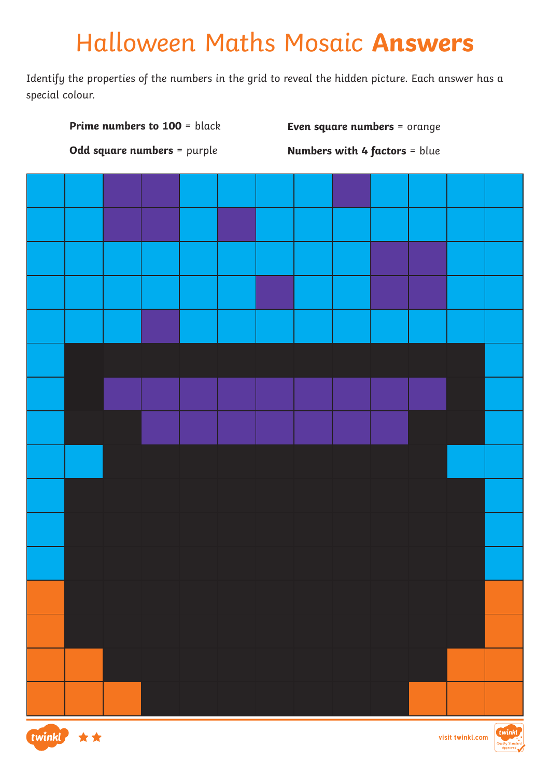## Halloween Maths Mosaic **Answers**

Identify the properties of the numbers in the grid to reveal the hidden picture. Each answer has a special colour.





**visit twinkl.com**

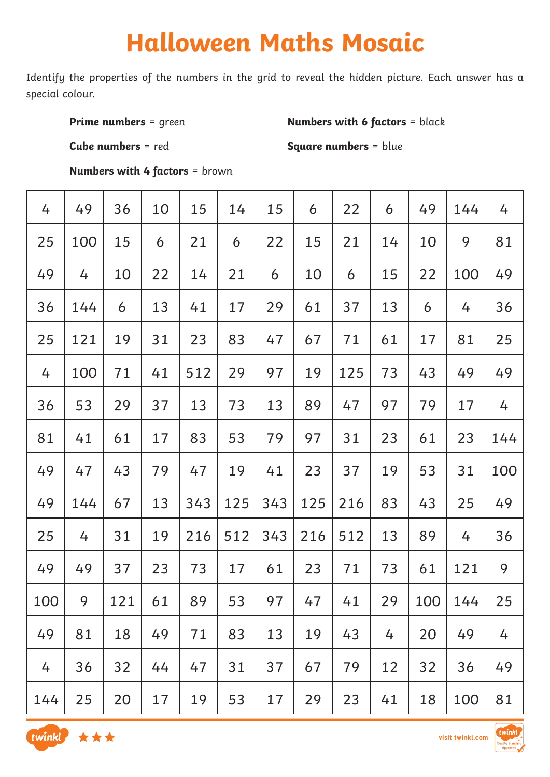# **Halloween Maths Mosaic**

Identify the properties of the numbers in the grid to reveal the hidden picture. Each answer has a special colour.

**Prime numbers** = green

**Numbers with 6 factors = black** 

**Cube numbers** = red

**Square numbers** = blue

**Numbers with 4 factors** = brown

| 4   | 49  | 36  | 10 | 15  | 14  | 15  | 6   | 22  | 6  | 49  | 144 | 4   |
|-----|-----|-----|----|-----|-----|-----|-----|-----|----|-----|-----|-----|
| 25  | 100 | 15  | 6  | 21  | 6   | 22  | 15  | 21  | 14 | 10  | 9   | 81  |
| 49  | 4   | 10  | 22 | 14  | 21  | 6   | 10  | 6   | 15 | 22  | 100 | 49  |
| 36  | 144 | 6   | 13 | 41  | 17  | 29  | 61  | 37  | 13 | 6   | 4   | 36  |
| 25  | 121 | 19  | 31 | 23  | 83  | 47  | 67  | 71  | 61 | 17  | 81  | 25  |
| 4   | 100 | 71  | 41 | 512 | 29  | 97  | 19  | 125 | 73 | 43  | 49  | 49  |
| 36  | 53  | 29  | 37 | 13  | 73  | 13  | 89  | 47  | 97 | 79  | 17  | 4   |
| 81  | 41  | 61  | 17 | 83  | 53  | 79  | 97  | 31  | 23 | 61  | 23  | 144 |
| 49  | 47  | 43  | 79 | 47  | 19  | 41  | 23  | 37  | 19 | 53  | 31  | 100 |
| 49  | 144 | 67  | 13 | 343 | 125 | 343 | 125 | 216 | 83 | 43  | 25  | 49  |
| 25  | 4   | 31  | 19 | 216 | 512 | 343 | 216 | 512 | 13 | 89  | 4   | 36  |
| 49  | 49  | 37  | 23 | 73  | 17  | 61  | 23  | 71  | 73 | 61  | 121 | 9   |
| 100 | 9   | 121 | 61 | 89  | 53  | 97  | 47  | 41  | 29 | 100 | 144 | 25  |
| 49  | 81  | 18  | 49 | 71  | 83  | 13  | 19  | 43  | 4  | 20  | 49  | 4   |
| 4   | 36  | 32  | 44 | 47  | 31  | 37  | 67  | 79  | 12 | 32  | 36  | 49  |
| 144 | 25  | 20  | 17 | 19  | 53  | 17  | 29  | 23  | 41 | 18  | 100 | 81  |